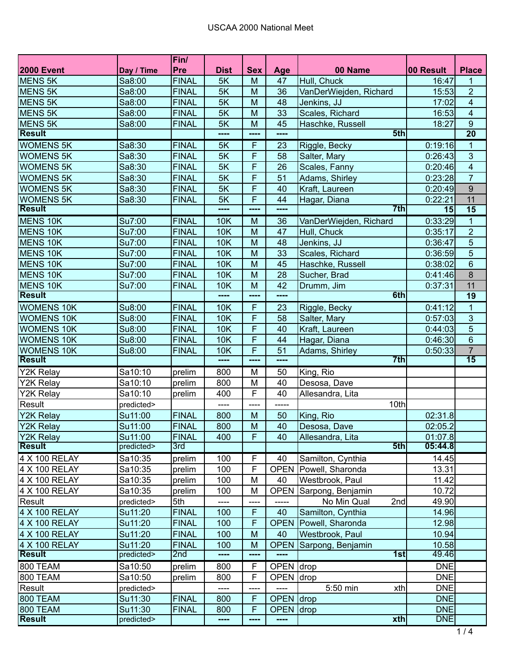|                       |            | Fin/         |             |                         |             |                        |            |                 |
|-----------------------|------------|--------------|-------------|-------------------------|-------------|------------------------|------------|-----------------|
| <b>2000 Event</b>     | Day / Time | Pre          | <b>Dist</b> | <b>Sex</b>              | Age         | 00 Name                | 00 Result  | <b>Place</b>    |
| <b>MENS 5K</b>        | Sa8:00     | <b>FINAL</b> | 5K          | M                       | 47          | Hull, Chuck            | 16:47      | 1               |
| <b>MENS 5K</b>        | Sa8:00     | <b>FINAL</b> | 5K          | M                       | 36          | VanDerWiejden, Richard | 15:53      | $\overline{2}$  |
| <b>MENS 5K</b>        | Sa8:00     | <b>FINAL</b> | 5K          | M                       | 48          | Jenkins, JJ            | 17:02      | $\overline{4}$  |
| <b>MENS 5K</b>        | Sa8:00     | <b>FINAL</b> | 5K          | M                       | 33          | Scales, Richard        | 16:53      | $\overline{4}$  |
| <b>MENS 5K</b>        | Sa8:00     | <b>FINAL</b> | 5K          | M                       | 45          | Haschke, Russell       | 18:27      | $\overline{9}$  |
| <b>Result</b>         |            |              | ----        | ----                    | ----        | 5th                    |            | $\overline{20}$ |
| <b>WOMENS 5K</b>      | Sa8:30     | <b>FINAL</b> | 5K          | $\mathsf F$             | 23          | Riggle, Becky          | 0:19:16    | $\mathbf{1}$    |
| <b>WOMENS 5K</b>      | Sa8:30     | <b>FINAL</b> | 5K          | F                       | 58          | Salter, Mary           | 0:26:43    | $\overline{3}$  |
| <b>WOMENS 5K</b>      | Sa8:30     | <b>FINAL</b> | 5K          | F                       | 26          | Scales, Fanny          | 0:20:46    | $\overline{4}$  |
| <b>WOMENS 5K</b>      | Sa8:30     | <b>FINAL</b> | 5K          | F                       | 51          | Adams, Shirley         | 0:23:28    | $\overline{7}$  |
| <b>WOMENS 5K</b>      | Sa8:30     | <b>FINAL</b> | 5K          | $\overline{\mathsf{F}}$ | 40          | Kraft, Laureen         | 0:20:49    | $\overline{9}$  |
| <b>WOMENS 5K</b>      | Sa8:30     | <b>FINAL</b> | 5K          | F                       | 44          | Hagar, Diana           | 0:22:21    | 11              |
| <b>Result</b>         |            |              | ----        | ----                    | ----        | 7th                    | 15         | $\overline{15}$ |
| <b>MENS 10K</b>       | Su7:00     | <b>FINAL</b> | 10K         | M                       | 36          | VanDerWiejden, Richard | 0:33:29    | $\mathbf{1}$    |
| MENS 10K              | Su7:00     | <b>FINAL</b> | <b>10K</b>  | M                       | 47          | Hull, Chuck            | 0:35:17    | $\overline{2}$  |
| MENS 10K              | Su7:00     | <b>FINAL</b> | <b>10K</b>  | M                       | 48          | Jenkins, JJ            | 0:36:47    | 5               |
| <b>MENS 10K</b>       | Su7:00     | <b>FINAL</b> | <b>10K</b>  | M                       | 33          | Scales, Richard        | 0:36:59    | $\overline{5}$  |
| MENS 10K              | Su7:00     | <b>FINAL</b> | <b>10K</b>  | M                       | 45          | Haschke, Russell       | 0:38:02    | $6\phantom{1}$  |
| MENS 10K              | Su7:00     | <b>FINAL</b> | <b>10K</b>  | M                       | 28          | Sucher, Brad           | 0:41:46    | 8               |
| MENS 10K              | Su7:00     | <b>FINAL</b> | <b>10K</b>  | M                       | 42          | Drumm, Jim             | 0:37:31    | 11              |
| <b>Result</b>         |            |              | ----        | ----                    | ----        | 6th                    |            | 19              |
| <b>WOMENS 10K</b>     | Su8:00     | <b>FINAL</b> | <b>10K</b>  | F                       | 23          | Riggle, Becky          | 0:41:12    | 1               |
| <b>WOMENS 10K</b>     | Su8:00     | <b>FINAL</b> | 10K         | F                       | 58          | Salter, Mary           | 0:57:03    | 3               |
| <b>WOMENS 10K</b>     | Su8:00     | <b>FINAL</b> | <b>10K</b>  | F                       | 40          | Kraft, Laureen         | 0:44:03    | 5               |
| <b>WOMENS 10K</b>     | Su8:00     | <b>FINAL</b> | 10K         | F                       | 44          | Hagar, Diana           | 0:46:30    | $6\phantom{1}$  |
| <b>WOMENS 10K</b>     | Su8:00     | <b>FINAL</b> | <b>10K</b>  | F                       | 51          | Adams, Shirley         | 0:50:33    | $\overline{7}$  |
| <b>Result</b>         |            |              | ----        | ----                    | ----        | 7th                    |            | $\overline{15}$ |
| Y2K Relay             | Sa10:10    | prelim       | 800         | M                       | 50          | King, Rio              |            |                 |
| Y2K Relay             | Sa10:10    | prelim       | 800         | M                       | 40          | Desosa, Dave           |            |                 |
| Y2K Relay             | Sa10:10    | prelim       | 400         | F                       | 40          | Allesandra, Lita       |            |                 |
| Result                | predicted> |              | ----        | ----                    | -----       | 10th                   |            |                 |
| Y2K Relay             | Su11:00    | <b>FINAL</b> | 800         | M                       | 50          | King, Rio              | 02:31.8    |                 |
| <b>Y2K Relay</b>      | Su11:00    | <b>FINAL</b> | 800         | M                       | 40          | Desosa, Dave           | 02:05.2    |                 |
| Y <sub>2K</sub> Relay | Su11:00    | <b>FINAL</b> | 400         | $\overline{F}$          | 40          | Allesandra, Lita       | 01:07.8    |                 |
| <b>Result</b>         | predicted> | 3rd          |             |                         |             | 5th                    | 05:44.8    |                 |
| 4 X 100 RELAY         | Sa10:35    | prelim       | 100         | F                       | 40          | Samilton, Cynthia      | 14.45      |                 |
| 4 X 100 RELAY         | Sa10:35    | prelim       | 100         | $\mathsf F$             | <b>OPEN</b> | Powell, Sharonda       | 13.31      |                 |
| 4 X 100 RELAY         | Sa10:35    | prelim       | 100         | M                       | 40          | Westbrook, Paul        | 11.42      |                 |
| 4 X 100 RELAY         | Sa10:35    | prelim       | 100         | M                       | <b>OPEN</b> | Sarpong, Benjamin      | 10.72      |                 |
| Result                | predicted> | 5th          | ----        |                         |             | No Min Qual<br>2nd     | 49.90      |                 |
| 4 X 100 RELAY         | Su11:20    | <b>FINAL</b> | 100         | $\mathsf F$             | 40          | Samilton, Cynthia      | 14.96      |                 |
| 4 X 100 RELAY         | Su11:20    | <b>FINAL</b> | 100         | $\mathsf{F}$            | <b>OPEN</b> | Powell, Sharonda       | 12.98      |                 |
| 4 X 100 RELAY         | Su11:20    | <b>FINAL</b> | 100         | M                       | 40          | Westbrook, Paul        | 10.94      |                 |
| 4 X 100 RELAY         | Su11:20    | <b>FINAL</b> | 100         | M                       | <b>OPEN</b> | Sarpong, Benjamin      | 10.58      |                 |
| <b>Result</b>         | predicted> | 2nd          | ----        | ----                    | ----        | 1st                    | 49.46      |                 |
| 800 TEAM              | Sa10:50    | prelim       | 800         | F                       | <b>OPEN</b> | drop                   | <b>DNE</b> |                 |
| 800 TEAM              | Sa10:50    | prelim       | 800         | F                       | <b>OPEN</b> | drop                   | <b>DNE</b> |                 |
| Result                | predicted> |              | ----        | ----                    | ----        | 5:50 min<br>xth        | <b>DNE</b> |                 |
| 800 TEAM              | Su11:30    | <b>FINAL</b> | 800         | F                       | OPEN drop   |                        | <b>DNE</b> |                 |
| 800 TEAM              | Su11:30    | <b>FINAL</b> | 800         | F                       | <b>OPEN</b> | drop                   | <b>DNE</b> |                 |
| <b>Result</b>         | predicted> |              | ----        | ----                    | ----        | $x$ th                 | <b>DNE</b> |                 |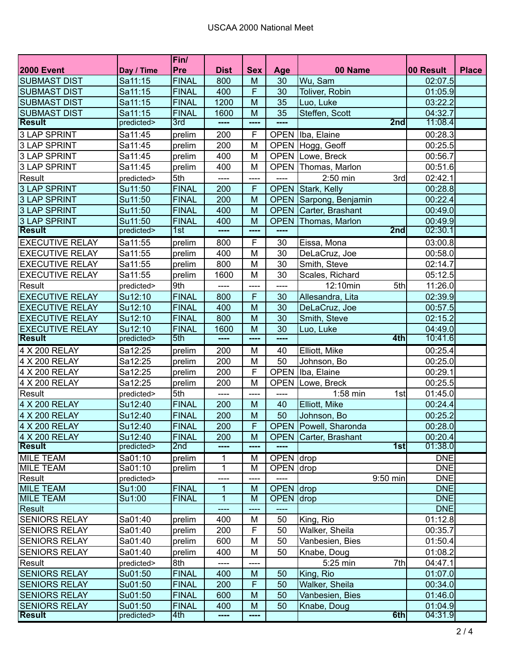|                        |            | Fin/            |             |                |               |                            |            |              |
|------------------------|------------|-----------------|-------------|----------------|---------------|----------------------------|------------|--------------|
| <b>2000 Event</b>      | Day / Time | Pre             | <b>Dist</b> | <b>Sex</b>     | Age           | 00 Name                    | 00 Result  | <b>Place</b> |
| <b>SUBMAST DIST</b>    | Sa11:15    | <b>FINAL</b>    | 800         | M              | 30            | Wu, Sam                    | 02:07.5    |              |
| <b>SUBMAST DIST</b>    | Sa11:15    | <b>FINAL</b>    | 400         | $\overline{F}$ | 30            | Toliver, Robin             | 01:05.9    |              |
| <b>SUBMAST DIST</b>    | Sa11:15    | <b>FINAL</b>    | 1200        | M              | 35            | Luo, Luke                  | 03:22.2    |              |
| <b>SUBMAST DIST</b>    | Sa11:15    | <b>FINAL</b>    | 1600        | M              | 35            | Steffen, Scott             | 04:32.7    |              |
| <b>Result</b>          | predicted> | 3rd             | ----        | ----           |               | 2nd                        | 11:08.4    |              |
| <b>3 LAP SPRINT</b>    | Sa11:45    | prelim          | 200         | F              | <b>OPEN</b>   | Iba, Elaine                | 00:28.3    |              |
| <b>3 LAP SPRINT</b>    | Sa11:45    | prelim          | 200         | M              |               | OPEN Hogg, Geoff           | 00:25.5    |              |
| <b>3 LAP SPRINT</b>    | Sa11:45    | prelim          | 400         | M              |               | <b>OPEN Lowe, Breck</b>    | 00:56.7    |              |
| <b>3 LAP SPRINT</b>    | Sa11:45    | prelim          | 400         | M              | <b>OPEN</b>   | Thomas, Marlon             | 00:51.6    |              |
| Result                 | predicted> | 5th             | ----        | ----           | ----          | 2:50 min<br>3rd            | 02:42.1    |              |
| <b>3 LAP SPRINT</b>    | Su11:50    | <b>FINAL</b>    | 200         | F              | <b>OPEN</b>   | Stark, Kelly               | 00:28.8    |              |
| <b>3 LAP SPRINT</b>    | Su11:50    | <b>FINAL</b>    | 200         | M              | <b>OPEN</b>   | Sarpong, Benjamin          | 00:22.4    |              |
| <b>3 LAP SPRINT</b>    | Su11:50    | <b>FINAL</b>    | 400         | M              | <b>OPEN</b>   | Carter, Brashant           | 00:49.0    |              |
| <b>3 LAP SPRINT</b>    | Su11:50    | <b>FINAL</b>    | 400         | M              | <b>OPEN</b>   | Thomas, Marlon             | 00:49.9    |              |
| <b>Result</b>          | predicted> | 1st             | ----        | ----           | $\frac{1}{2}$ | 2nd                        | 02:30.1    |              |
| <b>EXECUTIVE RELAY</b> | Sa11:55    | prelim          | 800         | $\overline{F}$ | 30            | Eissa, Mona                | 03:00.8    |              |
| <b>EXECUTIVE RELAY</b> | Sa11:55    | prelim          | 400         | M              | 30            | DeLaCruz, Joe              | 00:58.0    |              |
| <b>EXECUTIVE RELAY</b> | Sa11:55    | prelim          | 800         | M              | 30            | Smith, Steve               | 02:14.7    |              |
| <b>EXECUTIVE RELAY</b> | Sa11:55    | prelim          | 1600        | M              | 30            | Scales, Richard            | 05:12.5    |              |
| Result                 | predicted> | 9th             | ----        | $--- -$        | ----          | 12:10min<br>5th            | 11:26.0    |              |
| <b>EXECUTIVE RELAY</b> | Su12:10    | <b>FINAL</b>    | 800         | $\mathsf{F}$   | 30            | Allesandra, Lita           | 02:39.9    |              |
| <b>EXECUTIVE RELAY</b> | Su12:10    | <b>FINAL</b>    | 400         | M              | 30            | DeLaCruz, Joe              | 00:57.5    |              |
| <b>EXECUTIVE RELAY</b> | Su12:10    | <b>FINAL</b>    | 800         | M              | 30            | Smith, Steve               | 02:15.2    |              |
| <b>EXECUTIVE RELAY</b> | Su12:10    | <b>FINAL</b>    | 1600        | M              | 30            | Luo, Luke                  | 04:49.0    |              |
| <b>Result</b>          | predicted> | 5th             | ----        | $\frac{1}{2}$  | ----          | 4th                        | 10:41.6    |              |
| 4 X 200 RELAY          | Sa12:25    | prelim          | 200         | M              | 40            | Elliott, Mike              | 00:25.4    |              |
| 4 X 200 RELAY          | Sa12:25    | prelim          | 200         | M              | 50            | Johnson, Bo                | 00:25.0    |              |
| 4 X 200 RELAY          | Sa12:25    | prelim          | 200         | F              | <b>OPEN</b>   | Iba, Elaine                | 00:29.1    |              |
| 4 X 200 RELAY          | Sa12:25    | prelim          | 200         | M              | <b>OPEN</b>   | Lowe, Breck                | 00:25.5    |              |
| Result                 | predicted> | 5th             | ----        | $\frac{1}{2}$  | ----          | 1:58 min<br>1st            | 01:45.0    |              |
| 4 X 200 RELAY          | Su12:40    | <b>FINAL</b>    | 200         | M              | 40            | Elliott, Mike              | 00:24.4    |              |
| 4 X 200 RELAY          | Su12:40    | <b>FINAL</b>    | 200         | M              | 50            | Johnson, Bo                | 00:25.2    |              |
| 4 X 200 RELAY          | Su12:40    | <b>FINAL</b>    | 200         | $\mathsf F$    |               | OPEN   Powell, Sharonda    | 00:28.0    |              |
| 4 X 200 RELAY          | Su12:40    | <b>FINAL</b>    | 200         | M              |               | OPEN Carter, Brashant      | 00:20.4    |              |
| Result                 | predicted> | 2 <sub>nd</sub> |             | ----           |               | 1st                        | 01:38.0    |              |
| <b>MILE TEAM</b>       | Sa01:10    | prelim          |             | м              | OPEN drop     |                            | <b>DNE</b> |              |
| <b>MILE TEAM</b>       | Sa01:10    | prelim          | 1           | M              | OPEN drop     |                            | <b>DNE</b> |              |
| Result                 | predicted> |                 | ----        | ----           | ----          | 9:50 min                   | <b>DNE</b> |              |
| <b>MILE TEAM</b>       | Su1:00     | <b>FINAL</b>    | 1           | M              | <b>OPEN</b>   | drop                       | <b>DNE</b> |              |
| <b>MILE TEAM</b>       | Su1:00     | <b>FINAL</b>    | 1           | M              | <b>OPEN</b>   | drop                       | <b>DNE</b> |              |
| Result                 |            |                 |             |                | ----          |                            | <b>DNE</b> |              |
| <b>SENIORS RELAY</b>   | Sa01:40    | prelim          | 400         | M              | 50            | King, Rio                  | 01:12.8    |              |
| <b>SENIORS RELAY</b>   | Sa01:40    | prelim          | 200         | F              | 50            | Walker, Sheila             | 00:35.7    |              |
| <b>SENIORS RELAY</b>   | Sa01:40    | prelim          | 600         | M              | 50            | Vanbesien, Bies            | 01:50.4    |              |
| <b>SENIORS RELAY</b>   | Sa01:40    | prelim          | 400         | M              | 50            | Knabe, Doug                | 01:08.2    |              |
| Result                 | predicted> | 8th             | ----        |                |               | 7th<br>5:25 min            | 04:47.1    |              |
| <b>SENIORS RELAY</b>   | Su01:50    | <b>FINAL</b>    | 400         | M              | 50            | King, Rio                  | 01:07.0    |              |
| <b>SENIORS RELAY</b>   | Su01:50    | <b>FINAL</b>    | 200         | $\mathsf{F}$   | 50            | Walker, Sheila             | 00:34.0    |              |
| <b>SENIORS RELAY</b>   | Su01:50    | <b>FINAL</b>    | 600         | M              | 50            | 01:46.0<br>Vanbesien, Bies |            |              |
| <b>SENIORS RELAY</b>   | Su01:50    | <b>FINAL</b>    | 400         | ${\sf M}$      | 50            | Knabe, Doug                | 01:04.9    |              |
| <b>Result</b>          | predicted> | 4th             | ----        | ----           |               | 6th                        | 04:31.9    |              |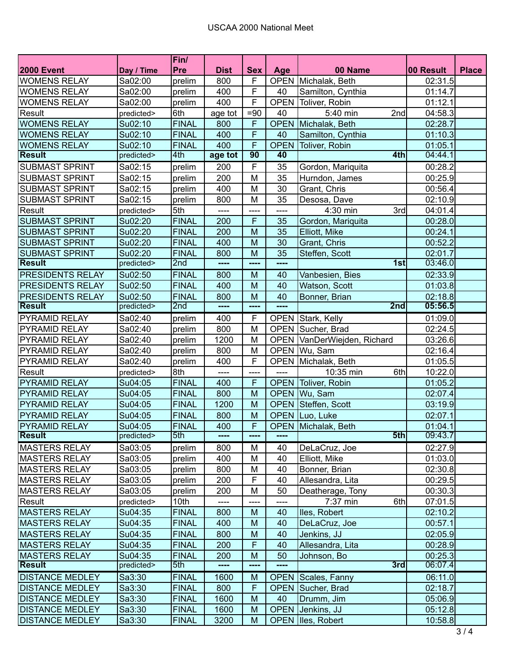|                         |            | Fin/            |             |                 |             |                        |           |              |
|-------------------------|------------|-----------------|-------------|-----------------|-------------|------------------------|-----------|--------------|
| <b>2000 Event</b>       | Day / Time | Pre             | <b>Dist</b> | <b>Sex</b>      | Age         | 00 Name                | 00 Result | <b>Place</b> |
| <b>WOMENS RELAY</b>     | Sa02:00    | prelim          | 800         | F               | <b>OPEN</b> | Michalak, Beth         | 02:31.5   |              |
| <b>WOMENS RELAY</b>     | Sa02:00    | prelim          | 400         | F               | 40          | Samilton, Cynthia      | 01:14.7   |              |
| <b>WOMENS RELAY</b>     | Sa02:00    | prelim          | 400         | F               | <b>OPEN</b> | Toliver, Robin         | 01:12.1   |              |
| Result                  | predicted> | 6th             | age tot     | $=90$           | 40          | 5:40 min<br>2nd        | 04:58.3   |              |
| <b>WOMENS RELAY</b>     | Su02:10    | <b>FINAL</b>    | 800         | F               | <b>OPEN</b> | Michalak, Beth         | 02:28.7   |              |
| <b>WOMENS RELAY</b>     | Su02:10    | <b>FINAL</b>    | 400         | F               | 40          | Samilton, Cynthia      | 01:10.3   |              |
| <b>WOMENS RELAY</b>     | Su02:10    | <b>FINAL</b>    | 400         | $\overline{F}$  | <b>OPEN</b> | Toliver, Robin         | 01:05.1   |              |
| <b>Result</b>           | predicted> | 4th             | age tot     | $\overline{90}$ | 40          | 4th                    | 04:44.1   |              |
| <b>SUBMAST SPRINT</b>   | Sa02:15    | prelim          | 200         | F               | 35          | Gordon, Mariquita      | 00:28.2   |              |
| <b>SUBMAST SPRINT</b>   | Sa02:15    | prelim          | 200         | M               | 35          | Hurndon, James         | 00:25.9   |              |
| <b>SUBMAST SPRINT</b>   | Sa02:15    | prelim          | 400         | M               | 30          | Grant, Chris           | 00:56.4   |              |
| <b>SUBMAST SPRINT</b>   | Sa02:15    | prelim          | 800         | M               | 35          | Desosa, Dave           | 02:10.9   |              |
| Result                  | predicted> | 5th             | ----        | ----            | ----        | 4:30 min<br>3rd        | 04:01.4   |              |
| <b>SUBMAST SPRINT</b>   | Su02:20    | <b>FINAL</b>    | 200         | F               | 35          | Gordon, Mariquita      | 00:28.0   |              |
| <b>SUBMAST SPRINT</b>   | Su02:20    | <b>FINAL</b>    | 200         | M               | 35          | Elliott, Mike          | 00:24.1   |              |
| <b>SUBMAST SPRINT</b>   | Su02:20    | <b>FINAL</b>    | 400         | M               | 30          | Grant, Chris           | 00:52.2   |              |
| <b>SUBMAST SPRINT</b>   | Su02:20    | <b>FINAL</b>    | 800         | M               | 35          | Steffen, Scott         | 02:01.7   |              |
| <b>Result</b>           | predicted> | 2 <sub>nd</sub> | ----        | ----            | ----        | 1st                    | 03:46.0   |              |
| PRESIDENTS RELAY        | Su02:50    | <b>FINAL</b>    | 800         | M               | 40          | Vanbesien, Bies        | 02:33.9   |              |
| PRESIDENTS RELAY        | Su02:50    | <b>FINAL</b>    | 400         | M               | 40          | Watson, Scott          | 01:03.8   |              |
| <b>PRESIDENTS RELAY</b> | Su02:50    | <b>FINAL</b>    | 800         | M               | 40          | Bonner, Brian          | 02:18.8   |              |
| <b>Result</b>           | predicted> | 2nd             | ----        | ----            | ----        | 2nd                    | 05:56.5   |              |
| PYRAMID RELAY           | Sa02:40    | prelim          | 400         | F               |             | OPEN Stark, Kelly      | 01:09.0   |              |
| PYRAMID RELAY           | Sa02:40    | prelim          | 800         | M               |             | OPEN Sucher, Brad      | 02:24.5   |              |
| PYRAMID RELAY           | Sa02:40    | prelim          | 1200        | M               | <b>OPEN</b> | VanDerWiejden, Richard | 03:26.6   |              |
| <b>PYRAMID RELAY</b>    | Sa02:40    | prelim          | 800         | M               | <b>OPEN</b> | Wu, Sam                | 02:16.4   |              |
| <b>PYRAMID RELAY</b>    | Sa02:40    | prelim          | 400         | F               | <b>OPEN</b> | Michalak, Beth         | 01:05.5   |              |
| Result                  | predicted> | 8th             | ----        | ----            | ----        | 10:35 min<br>6th       | 10:22.0   |              |
| <b>PYRAMID RELAY</b>    | Su04:05    | <b>FINAL</b>    | 400         | F               | <b>OPEN</b> | Toliver, Robin         | 01:05.2   |              |
| <b>PYRAMID RELAY</b>    | Su04:05    | <b>FINAL</b>    | 800         | M               | <b>OPEN</b> | Wu, Sam                | 02:07.4   |              |
| <b>PYRAMID RELAY</b>    | Su04:05    | <b>FINAL</b>    | 1200        | M               | <b>OPEN</b> | Steffen, Scott         | 03:19.9   |              |
| <b>PYRAMID RELAY</b>    | Su04:05    | <b>FINAL</b>    | 800         | M               | <b>OPEN</b> | Luo, Luke              | 02:07.1   |              |
| PYRAMID RELAY           | Su04:05    | <b>FINAL</b>    | 400         | F               | <b>OPEN</b> | Michalak, Beth         | 01:04.1   |              |
| <b>Result</b>           | predicted> | 5th             |             |                 |             | 5th                    | 09:43.7   |              |
| <b>MASTERS RELAY</b>    | Sa03:05    | prelim          | 800         | M               | 40          | DeLaCruz, Joe          | 02:27.9   |              |
| <b>MASTERS RELAY</b>    | Sa03:05    | prelim          | 400         | M               | 40          | Elliott, Mike          | 01:03.0   |              |
| <b>MASTERS RELAY</b>    | Sa03:05    | prelim          | 800         | M               | 40          | Bonner, Brian          | 02:30.8   |              |
| <b>MASTERS RELAY</b>    | Sa03:05    | prelim          | 200         | F               | 40          | Allesandra, Lita       | 00:29.5   |              |
| <b>MASTERS RELAY</b>    | Sa03:05    | prelim          | 200         | M               | 50          | Deatherage, Tony       | 00:30.3   |              |
| Result                  | predicted> | 10th            | ----        |                 | ----        | 7:37 min<br>6th        | 07:01.5   |              |
| <b>MASTERS RELAY</b>    | Su04:35    | <b>FINAL</b>    | 800         | M               | 40          | lles, Robert           | 02:10.2   |              |
| <b>MASTERS RELAY</b>    | Su04:35    | <b>FINAL</b>    | 400         | M               | 40          | DeLaCruz, Joe          | 00:57.1   |              |
| <b>MASTERS RELAY</b>    | Su04:35    | <b>FINAL</b>    | 800         | M               | 40          | Jenkins, JJ            | 02:05.9   |              |
| <b>MASTERS RELAY</b>    | Su04:35    | <b>FINAL</b>    | 200         | $\mathsf F$     | 40          | Allesandra, Lita       | 00:28.9   |              |
| <b>MASTERS RELAY</b>    | Su04:35    | <b>FINAL</b>    | 200         | M               | 50          | Johnson, Bo            | 00:25.3   |              |
| <b>Result</b>           | predicted> | 5th             | ----        | ----            | ----        | 3rd                    | 06:07.4   |              |
| <b>DISTANCE MEDLEY</b>  | Sa3:30     | <b>FINAL</b>    | 1600        | M               | <b>OPEN</b> | Scales, Fanny          | 06:11.0   |              |
| <b>DISTANCE MEDLEY</b>  | Sa3:30     | <b>FINAL</b>    | 800         | $\mathsf F$     | <b>OPEN</b> | Sucher, Brad           | 02:18.7   |              |
| <b>DISTANCE MEDLEY</b>  | Sa3:30     | <b>FINAL</b>    | 1600        | M               | 40          | Drumm, Jim             | 05:06.9   |              |
| <b>DISTANCE MEDLEY</b>  | Sa3:30     | <b>FINAL</b>    | 1600        | M               | <b>OPEN</b> | Jenkins, JJ            | 05:12.8   |              |
| <b>DISTANCE MEDLEY</b>  | Sa3:30     | <b>FINAL</b>    | 3200        | M               | <b>OPEN</b> | Iles, Robert           | 10:58.8   |              |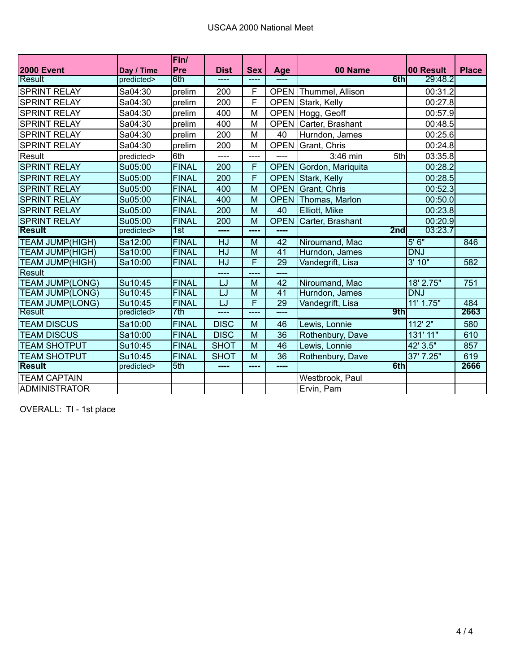|                        |            | Fin/         |               |               |             |                           |            |              |
|------------------------|------------|--------------|---------------|---------------|-------------|---------------------------|------------|--------------|
| <b>2000 Event</b>      | Day / Time | <b>Pre</b>   | <b>Dist</b>   | <b>Sex</b>    | Age         | 00 Name                   | 00 Result  | <b>Place</b> |
| Result                 | predicted> | 6th          | $\frac{1}{2}$ |               |             | 6th                       | 29:48.2    |              |
| <b>SPRINT RELAY</b>    | Sa04:30    | prelim       | 200           | F             | <b>OPEN</b> | Thummel, Allison          | 00:31.2    |              |
| <b>SPRINT RELAY</b>    | Sa04:30    | prelim       | 200           | F             | <b>OPEN</b> | Stark, Kelly              | 00:27.8    |              |
| <b>SPRINT RELAY</b>    | Sa04:30    | prelim       | 400           | M             | <b>OPEN</b> | Hogg, Geoff               | 00:57.9    |              |
| <b>SPRINT RELAY</b>    | Sa04:30    | prelim       | 400           | M             | <b>OPEN</b> | Carter, Brashant          | 00:48.5    |              |
| <b>SPRINT RELAY</b>    | Sa04:30    | prelim       | 200           | M             | 40          | Hurndon, James            | 00:25.6    |              |
| <b>SPRINT RELAY</b>    | Sa04:30    | prelim       | 200           | M             | <b>OPEN</b> | Grant, Chris              | 00:24.8    |              |
| Result                 | predicted> | 6th          | $---$         | ----          | ----        | 5th<br>3:46 min           | 03:35.8    |              |
| <b>SPRINT RELAY</b>    | Su05:00    | <b>FINAL</b> | 200           | F             | <b>OPEN</b> | Gordon, Mariquita         | 00:28.2    |              |
| <b>SPRINT RELAY</b>    | Su05:00    | <b>FINAL</b> | 200           | F             | <b>OPEN</b> | Stark, Kelly              | 00:28.5    |              |
| <b>SPRINT RELAY</b>    | Su05:00    | <b>FINAL</b> | 400           | M             | <b>OPEN</b> | Grant, Chris              | 00:52.3    |              |
| <b>SPRINT RELAY</b>    | Su05:00    | <b>FINAL</b> | 400           | M             | <b>OPEN</b> | Thomas, Marlon            | 00:50.0    |              |
| <b>SPRINT RELAY</b>    | Su05:00    | <b>FINAL</b> | 200           | M             | 40          | Elliott, Mike             | 00:23.8    |              |
| <b>SPRINT RELAY</b>    | Su05:00    | <b>FINAL</b> | 200           | M             | <b>OPEN</b> | Carter, Brashant          | 00:20.9    |              |
| <b>Result</b>          | predicted> | 1st          | ----          | ----          | ----        | 2nd                       | 03:23.7    |              |
| <b>TEAM JUMP(HIGH)</b> | Sa12:00    | <b>FINAL</b> | HJ            | M             | 42          | Niroumand, Mac            | 5'6''      | 846          |
| <b>TEAM JUMP(HIGH)</b> | Sa10:00    | <b>FINAL</b> | <b>HJ</b>     | M             | 41          | Hurndon, James            | <b>DNJ</b> |              |
| TEAM JUMP(HIGH)        | Sa10:00    | <b>FINAL</b> | HJ            | F             | 29          | Vandegrift, Lisa          | 3'10"      | 582          |
| Result                 |            |              | ----          |               | ----        |                           |            |              |
| <b>TEAM JUMP(LONG)</b> | Su10:45    | <b>FINAL</b> | LJ            | M             | 42          | Niroumand, Mac            | 18' 2.75"  | 751          |
| <b>TEAM JUMP(LONG)</b> | Su10:45    | <b>FINAL</b> | LJ            | M             | 41          | Hurndon, James            | <b>DNJ</b> |              |
| <b>TEAM JUMP(LONG)</b> | Su10:45    | <b>FINAL</b> | LJ            | F             | 29          | Vandegrift, Lisa          | 11' 1.75"  | 484          |
| Result                 | predicted> | 7th          | للمحاد        | $\frac{1}{2}$ | ----        | 9th                       |            | 2663         |
| <b>TEAM DISCUS</b>     | Sa10:00    | <b>FINAL</b> | <b>DISC</b>   | M             | 46          | Lewis, Lonnie             | 112' 2"    | 580          |
| <b>TEAM DISCUS</b>     | Sa10:00    | <b>FINAL</b> | <b>DISC</b>   | M             | 36          | Rothenbury, Dave          | 131' 11"   | 610          |
| <b>TEAM SHOTPUT</b>    | Su10:45    | <b>FINAL</b> | <b>SHOT</b>   | M             | 46          | 42' 3.5"<br>Lewis, Lonnie |            | 857          |
| <b>TEAM SHOTPUT</b>    | Su10:45    | <b>FINAL</b> | <b>SHOT</b>   | M             | 36          | Rothenbury, Dave          | 37' 7.25"  | 619          |
| Result                 | predicted> | 5th          | ----          | ----          | ----        | 6th                       |            | 2666         |
| <b>TEAM CAPTAIN</b>    |            |              |               |               |             | Westbrook, Paul           |            |              |
| <b>ADMINISTRATOR</b>   |            |              |               |               |             | Ervin, Pam                |            |              |

OVERALL: TI - 1st place